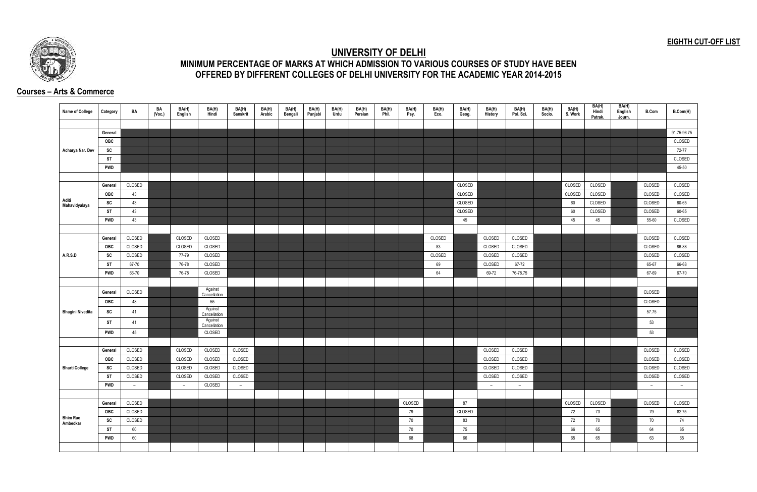## **EIGHTH CUT-OFF LIST**



## **UNIVERSITY OF DELHI MINIMUM PERCENTAGE OF MARKS AT WHICH ADMISSION TO VARIOUS COURSES OF STUDY HAVE BEEN OFFERED BY DIFFERENT COLLEGES OF DELHI UNIVERSITY FOR THE ACADEMIC YEAR 2014-2015**

## **Courses – Arts & Commerce**

| Name of College         | Category              | BA     | BA<br>(Voc.) | BA(H)<br>English | BA(H)<br>Hindi          | BA(H)<br>Sanskrit | BA(H)<br>Arabic | BA(H)<br>Bengali | BA(H)<br>Punjabi | BA(H)<br>Urdu | BA(H)<br>Persian | BA(H)<br>Phil. | BA(H)<br>Psy. | BA(H)<br>Eco. | BA(H)<br>Geog. | BA(H)<br>History | BA(H)<br>Pol. Sci. | BA(H)<br>Socio. | BA(H)<br>S. Work | BA(H)<br>Hindi<br>Patrak. | BA(H)<br>English<br>Journ. | <b>B.Com</b>     | B.Com(H)    |
|-------------------------|-----------------------|--------|--------------|------------------|-------------------------|-------------------|-----------------|------------------|------------------|---------------|------------------|----------------|---------------|---------------|----------------|------------------|--------------------|-----------------|------------------|---------------------------|----------------------------|------------------|-------------|
|                         |                       |        |              |                  |                         |                   |                 |                  |                  |               |                  |                |               |               |                |                  |                    |                 |                  |                           |                            |                  |             |
|                         | General               |        |              |                  |                         |                   |                 |                  |                  |               |                  |                |               |               |                |                  |                    |                 |                  |                           |                            |                  | 91.75-96.75 |
|                         | OBC                   |        |              |                  |                         |                   |                 |                  |                  |               |                  |                |               |               |                |                  |                    |                 |                  |                           |                            |                  | CLOSED      |
| Acharya Nar. Dev        | SC                    |        |              |                  |                         |                   |                 |                  |                  |               |                  |                |               |               |                |                  |                    |                 |                  |                           |                            |                  | 72-77       |
|                         | <b>ST</b>             |        |              |                  |                         |                   |                 |                  |                  |               |                  |                |               |               |                |                  |                    |                 |                  |                           |                            |                  | CLOSED      |
|                         | <b>PWD</b>            |        |              |                  |                         |                   |                 |                  |                  |               |                  |                |               |               |                |                  |                    |                 |                  |                           |                            |                  | 45-50       |
|                         |                       |        |              |                  |                         |                   |                 |                  |                  |               |                  |                |               |               |                |                  |                    |                 |                  |                           |                            |                  |             |
|                         | General               | CLOSED |              |                  |                         |                   |                 |                  |                  |               |                  |                |               |               | CLOSED         |                  |                    |                 | CLOSED           | CLOSED                    |                            | CLOSED           | CLOSED      |
|                         | OBC                   | 43     |              |                  |                         |                   |                 |                  |                  |               |                  |                |               |               | CLOSED         |                  |                    |                 | CLOSED           | CLOSED                    |                            | CLOSED           | CLOSED      |
| Aditi<br>Mahavidyalaya  | SC                    | 43     |              |                  |                         |                   |                 |                  |                  |               |                  |                |               |               | CLOSED         |                  |                    |                 | 60               | CLOSED                    |                            | CLOSED           | 60-65       |
|                         | ST                    | 43     |              |                  |                         |                   |                 |                  |                  |               |                  |                |               |               | CLOSED         |                  |                    |                 | 60               | CLOSED                    |                            | CLOSED           | 60-65       |
|                         | <b>PWD</b>            | 43     |              |                  |                         |                   |                 |                  |                  |               |                  |                |               |               | 45             |                  |                    |                 | 45               | 45                        |                            | 55-60            | CLOSED      |
|                         |                       |        |              |                  |                         |                   |                 |                  |                  |               |                  |                |               |               |                |                  |                    |                 |                  |                           |                            |                  |             |
|                         | General               | CLOSED |              | CLOSED           | CLOSED                  |                   |                 |                  |                  |               |                  |                |               | CLOSED        |                | CLOSED           | CLOSED             |                 |                  |                           |                            | CLOSED           | CLOSED      |
|                         | <b>OBC</b>            | CLOSED |              | CLOSED           | CLOSED                  |                   |                 |                  |                  |               |                  |                |               | 83            |                | CLOSED           | CLOSED             |                 |                  |                           |                            | CLOSED           | 86-88       |
| <b>A.R.S.D</b>          | SC                    | CLOSED |              | 77-79            | CLOSED                  |                   |                 |                  |                  |               |                  |                |               | CLOSED        |                | CLOSED           | CLOSED             |                 |                  |                           |                            | CLOSED           | CLOSED      |
|                         | <b>ST</b>             | 67-70  |              | 76-78            | CLOSED                  |                   |                 |                  |                  |               |                  |                |               | 69            |                | CLOSED           | 67-72              |                 |                  |                           |                            | 65-67            | 66-68       |
|                         | <b>PWD</b>            | 66-70  |              | 76-78            | CLOSED                  |                   |                 |                  |                  |               |                  |                |               | 64            |                | 69-72            | 76-78.75           |                 |                  |                           |                            | 67-69            | 67-70       |
|                         |                       |        |              |                  |                         |                   |                 |                  |                  |               |                  |                |               |               |                |                  |                    |                 |                  |                           |                            |                  |             |
|                         | General               | CLOSED |              |                  | Against<br>Cancellation |                   |                 |                  |                  |               |                  |                |               |               |                |                  |                    |                 |                  |                           |                            | CLOSED           |             |
|                         | OBC                   | 48     |              |                  | 55                      |                   |                 |                  |                  |               |                  |                |               |               |                |                  |                    |                 |                  |                           |                            | CLOSED           |             |
| <b>Bhagini Nivedita</b> | SC                    | 41     |              |                  | Against<br>Cancellation |                   |                 |                  |                  |               |                  |                |               |               |                |                  |                    |                 |                  |                           |                            | 57.75            |             |
|                         | ST                    | 41     |              |                  | Against                 |                   |                 |                  |                  |               |                  |                |               |               |                |                  |                    |                 |                  |                           |                            | 53               |             |
|                         |                       |        |              |                  | Cancellation<br>CLOSED  |                   |                 |                  |                  |               |                  |                |               |               |                |                  |                    |                 |                  |                           |                            | 53               |             |
|                         | <b>PWD</b>            | 45     |              |                  |                         |                   |                 |                  |                  |               |                  |                |               |               |                |                  |                    |                 |                  |                           |                            |                  |             |
|                         |                       | CLOSED |              | CLOSED           |                         | CLOSED            |                 |                  |                  |               |                  |                |               |               |                |                  |                    |                 |                  |                           |                            |                  | CLOSED      |
|                         | General<br>OBC        | CLOSED |              | CLOSED           | CLOSED<br>CLOSED        | CLOSED            |                 |                  |                  |               |                  |                |               |               |                | CLOSED<br>CLOSED | CLOSED<br>CLOSED   |                 |                  |                           |                            | CLOSED<br>CLOSED | CLOSED      |
| <b>Bharti College</b>   |                       | CLOSED |              | CLOSED           | CLOSED                  | CLOSED            |                 |                  |                  |               |                  |                |               |               |                | CLOSED           | CLOSED             |                 |                  |                           |                            | CLOSED           | CLOSED      |
|                         | SC<br><b>ST</b>       | CLOSED |              | CLOSED           | CLOSED                  | CLOSED            |                 |                  |                  |               |                  |                |               |               |                | CLOSED           | CLOSED             |                 |                  |                           |                            | CLOSED           | CLOSED      |
|                         | <b>PWD</b>            | $ \,$  |              | $ \,$            | CLOSED                  | $\sim$            |                 |                  |                  |               |                  |                |               |               |                | $ \,$            | $\sim$             |                 |                  |                           |                            | $\sim$           | $ \,$       |
|                         |                       |        |              |                  |                         |                   |                 |                  |                  |               |                  |                |               |               |                |                  |                    |                 |                  |                           |                            |                  |             |
|                         |                       | CLOSED |              |                  |                         |                   |                 |                  |                  |               |                  |                | CLOSED        |               | 87             |                  |                    |                 | CLOSED           | CLOSED                    |                            | CLOSED           | CLOSED      |
|                         | General<br><b>OBC</b> | CLOSED |              |                  |                         |                   |                 |                  |                  |               |                  |                |               |               | CLOSED         |                  |                    |                 |                  |                           |                            |                  | 82.75       |
| <b>Bhim Rao</b>         | SC                    | CLOSED |              |                  |                         |                   |                 |                  |                  |               |                  |                | 79<br>70      |               | 83             |                  |                    |                 | 72<br>72         | 73<br>70                  |                            | 79<br>70         | 74          |
| Ambedkar                | <b>ST</b>             | 60     |              |                  |                         |                   |                 |                  |                  |               |                  |                | 70            |               | 75             |                  |                    |                 | 66               | 65                        |                            | 64               | 65          |
|                         | <b>PWD</b>            | 60     |              |                  |                         |                   |                 |                  |                  |               |                  |                | 68            |               | 66             |                  |                    |                 | 65               | 65                        |                            | 63               | 65          |
|                         |                       |        |              |                  |                         |                   |                 |                  |                  |               |                  |                |               |               |                |                  |                    |                 |                  |                           |                            |                  |             |
|                         |                       |        |              |                  |                         |                   |                 |                  |                  |               |                  |                |               |               |                |                  |                    |                 |                  |                           |                            |                  |             |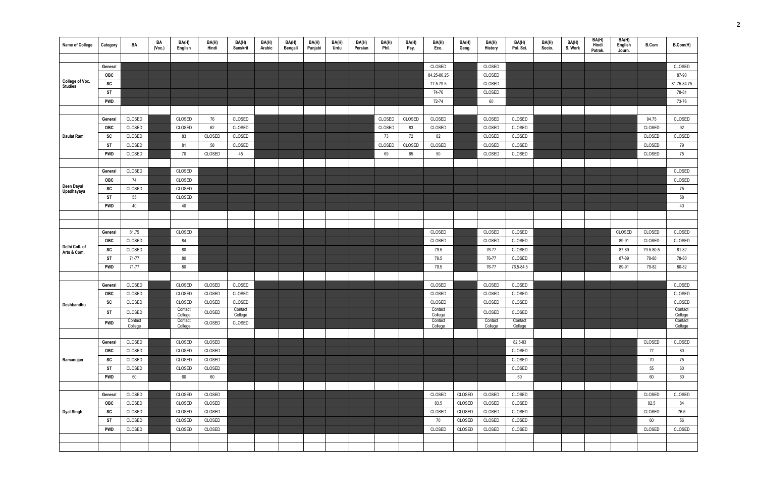| Name of College               | Category   | BA      | BA<br>(Voc.) | BA(H)<br>English   | BA(H)<br>Hindi | BA(H)<br>Sanskrit  | BA(H)<br>Arabic | BA(H)<br>Bengali | BA(H)<br>Punjabi | BA(H)<br>Urdu | BA(H)<br>Persian | BA(H)<br>Phil. | BA(H)<br>Psy. | BA(H)<br>Eco.      | BA(H)<br>Geog. | BA(H)<br>History | BA(H)<br>Pol. Sci. | BA(H)<br>Socio. | BA(H)<br>S. Work | BA(H)<br>Hindi<br>Patrak. | BA(H)<br>English<br>Journ. | <b>B.Com</b> | B.Com(H)           |
|-------------------------------|------------|---------|--------------|--------------------|----------------|--------------------|-----------------|------------------|------------------|---------------|------------------|----------------|---------------|--------------------|----------------|------------------|--------------------|-----------------|------------------|---------------------------|----------------------------|--------------|--------------------|
|                               |            |         |              |                    |                |                    |                 |                  |                  |               |                  |                |               |                    |                |                  |                    |                 |                  |                           |                            |              |                    |
|                               | General    |         |              |                    |                |                    |                 |                  |                  |               |                  |                |               | CLOSED             |                | CLOSED           |                    |                 |                  |                           |                            |              | CLOSED             |
| College of Voc.               | OBC        |         |              |                    |                |                    |                 |                  |                  |               |                  |                |               | 84.25-86.25        |                | CLOSED           |                    |                 |                  |                           |                            |              | 87-90              |
| <b>Studies</b>                | SC         |         |              |                    |                |                    |                 |                  |                  |               |                  |                |               | 77.5-79.5          |                | CLOSED           |                    |                 |                  |                           |                            |              | 81.75-84.75        |
|                               | <b>ST</b>  |         |              |                    |                |                    |                 |                  |                  |               |                  |                |               | 74-76              |                | CLOSED           |                    |                 |                  |                           |                            |              | 78-81              |
|                               | <b>PWD</b> |         |              |                    |                |                    |                 |                  |                  |               |                  |                |               | 72-74              |                | 60               |                    |                 |                  |                           |                            |              | 73-76              |
|                               |            |         |              |                    |                |                    |                 |                  |                  |               |                  |                |               |                    |                |                  |                    |                 |                  |                           |                            |              |                    |
|                               | General    | CLOSED  |              | CLOSED             | 76             | CLOSED             |                 |                  |                  |               |                  | CLOSED         | CLOSED        | CLOSED             |                | CLOSED           | CLOSED             |                 |                  |                           |                            | 94.75        | CLOSED             |
|                               | OBC        | CLOSED  |              | CLOSED             | 62             | CLOSED             |                 |                  |                  |               |                  | CLOSED         | 83            | CLOSED             |                | CLOSED           | CLOSED             |                 |                  |                           |                            | CLOSED       | 92                 |
| Daulat Ram                    | SC         | CLOSED  |              | 83                 | CLOSED         | CLOSED             |                 |                  |                  |               |                  | 73             | 72            | 82                 |                | CLOSED           | CLOSED             |                 |                  |                           |                            | CLOSED       | CLOSED             |
|                               | ST         | CLOSED  |              | 81                 | 58             | CLOSED             |                 |                  |                  |               |                  | CLOSED         | CLOSED        | CLOSED             |                | CLOSED           | CLOSED             |                 |                  |                           |                            | CLOSED       | 79                 |
|                               | <b>PWD</b> | CLOSED  |              | 70                 | CLOSED         | 45                 |                 |                  |                  |               |                  | 69             | 65            | 50                 |                | CLOSED           | CLOSED             |                 |                  |                           |                            | CLOSED       | 75                 |
|                               |            |         |              |                    |                |                    |                 |                  |                  |               |                  |                |               |                    |                |                  |                    |                 |                  |                           |                            |              |                    |
|                               | General    | CLOSED  |              | CLOSED             |                |                    |                 |                  |                  |               |                  |                |               |                    |                |                  |                    |                 |                  |                           |                            |              | CLOSED             |
|                               | OBC        | 74      |              | CLOSED             |                |                    |                 |                  |                  |               |                  |                |               |                    |                |                  |                    |                 |                  |                           |                            |              | CLOSED             |
| Deen Dayal<br>Upadhayaya      | SC         | CLOSED  |              | CLOSED             |                |                    |                 |                  |                  |               |                  |                |               |                    |                |                  |                    |                 |                  |                           |                            |              | 75                 |
|                               | ST         | 55      |              | CLOSED             |                |                    |                 |                  |                  |               |                  |                |               |                    |                |                  |                    |                 |                  |                           |                            |              | 58                 |
|                               | <b>PWD</b> | 40      |              | 40                 |                |                    |                 |                  |                  |               |                  |                |               |                    |                |                  |                    |                 |                  |                           |                            |              | 40                 |
|                               |            |         |              |                    |                |                    |                 |                  |                  |               |                  |                |               |                    |                |                  |                    |                 |                  |                           |                            |              |                    |
|                               |            |         |              |                    |                |                    |                 |                  |                  |               |                  |                |               |                    |                |                  |                    |                 |                  |                           |                            |              |                    |
|                               | General    | 81.75   |              | CLOSED             |                |                    |                 |                  |                  |               |                  |                |               | CLOSED             |                | CLOSED           | CLOSED             |                 |                  |                           | CLOSED                     | CLOSED       | CLOSED             |
|                               | OBC        | CLOSED  |              | 84                 |                |                    |                 |                  |                  |               |                  |                |               | CLOSED             |                | CLOSED           | CLOSED             |                 |                  |                           | 89-91                      | CLOSED       | CLOSED             |
| Delhi Coll. of<br>Arts & Com. | SC         | CLOSED  |              | 80                 |                |                    |                 |                  |                  |               |                  |                |               | 79.5               |                | 76-77            | CLOSED             |                 |                  |                           | 87-89                      | 79.5-80.5    | 81-82              |
|                               | ST         | 71-77   |              | 80                 |                |                    |                 |                  |                  |               |                  |                |               | 79.5               |                | 76-77            | CLOSED             |                 |                  |                           | 87-89                      | 78-80        | 78-80              |
|                               | <b>PWD</b> | 71-77   |              | 80                 |                |                    |                 |                  |                  |               |                  |                |               | 79.5               |                | 76-77            | 76.5-84.5          |                 |                  |                           | 89-91                      | 79-82        | 80-82              |
|                               |            |         |              |                    |                |                    |                 |                  |                  |               |                  |                |               |                    |                |                  |                    |                 |                  |                           |                            |              |                    |
|                               | General    | CLOSED  |              | CLOSED             | CLOSED         | CLOSED             |                 |                  |                  |               |                  |                |               | CLOSED             |                | CLOSED           | CLOSED             |                 |                  |                           |                            |              | CLOSED             |
|                               | OBC        | CLOSED  |              | CLOSED             | CLOSED         | CLOSED             |                 |                  |                  |               |                  |                |               | CLOSED             |                | CLOSED           | CLOSED             |                 |                  |                           |                            |              | CLOSED             |
| Deshbandhu                    | SC         | CLOSED  |              | CLOSED             | CLOSED         | CLOSED             |                 |                  |                  |               |                  |                |               | CLOSED             |                | CLOSED           | CLOSED             |                 |                  |                           |                            |              | CLOSED             |
|                               | <b>ST</b>  | CLOSED  |              | Contact<br>College | CLOSED         | Contact<br>College |                 |                  |                  |               |                  |                |               | Contact<br>College |                | CLOSED           | CLOSED             |                 |                  |                           |                            |              | Contact<br>College |
|                               | <b>PWD</b> | Contact |              | Contact            | CLOSED         | CLOSED             |                 |                  |                  |               |                  |                |               | Contact            |                | Contact          | Contact            |                 |                  |                           |                            |              | Contact            |
|                               |            | College |              | College            |                |                    |                 |                  |                  |               |                  |                |               | College            |                | College          | College            |                 |                  |                           |                            |              | College            |
|                               | General    | CLOSED  |              | CLOSED             | CLOSED         |                    |                 |                  |                  |               |                  |                |               |                    |                |                  | 82.5-83            |                 |                  |                           |                            | CLOSED       | CLOSED             |
|                               | <b>OBC</b> | CLOSED  |              | CLOSED             | CLOSED         |                    |                 |                  |                  |               |                  |                |               |                    |                |                  | CLOSED             |                 |                  |                           |                            | 77           | 80                 |
| Ramanujan                     | SC         | CLOSED  |              | CLOSED             | CLOSED         |                    |                 |                  |                  |               |                  |                |               |                    |                |                  | CLOSED             |                 |                  |                           |                            | 70           | 75                 |
|                               | <b>ST</b>  | CLOSED  |              | CLOSED             | CLOSED         |                    |                 |                  |                  |               |                  |                |               |                    |                |                  | CLOSED             |                 |                  |                           |                            | 55           | 60                 |
|                               | <b>PWD</b> | 50      |              | 60                 | 60             |                    |                 |                  |                  |               |                  |                |               |                    |                |                  | 60                 |                 |                  |                           |                            | 60           | 60                 |
|                               |            |         |              |                    |                |                    |                 |                  |                  |               |                  |                |               |                    |                |                  |                    |                 |                  |                           |                            |              |                    |
|                               | General    | CLOSED  |              | CLOSED             | CLOSED         |                    |                 |                  |                  |               |                  |                |               | CLOSED             | CLOSED         | CLOSED           | CLOSED             |                 |                  |                           |                            | CLOSED       | CLOSED             |
|                               | OBC        | CLOSED  |              | CLOSED             | CLOSED         |                    |                 |                  |                  |               |                  |                |               | 83.5               | CLOSED         | CLOSED           | CLOSED             |                 |                  |                           |                            | 82.5         | 84                 |
| <b>Dyal Singh</b>             | SC         | CLOSED  |              | CLOSED             | CLOSED         |                    |                 |                  |                  |               |                  |                |               | CLOSED             | CLOSED         | CLOSED           | CLOSED             |                 |                  |                           |                            | CLOSED       | 76.5               |
|                               | ST         | CLOSED  |              | CLOSED             | CLOSED         |                    |                 |                  |                  |               |                  |                |               | 70                 | CLOSED         | CLOSED           | CLOSED             |                 |                  |                           |                            | 60           | 56                 |
|                               | PWD        | CLOSED  |              | CLOSED             | CLOSED         |                    |                 |                  |                  |               |                  |                |               | CLOSED             | CLOSED         | CLOSED           | CLOSED             |                 |                  |                           |                            | CLOSED       | CLOSED             |
|                               |            |         |              |                    |                |                    |                 |                  |                  |               |                  |                |               |                    |                |                  |                    |                 |                  |                           |                            |              |                    |
|                               |            |         |              |                    |                |                    |                 |                  |                  |               |                  |                |               |                    |                |                  |                    |                 |                  |                           |                            |              |                    |
|                               |            |         |              |                    |                |                    |                 |                  |                  |               |                  |                |               |                    |                |                  |                    |                 |                  |                           |                            |              |                    |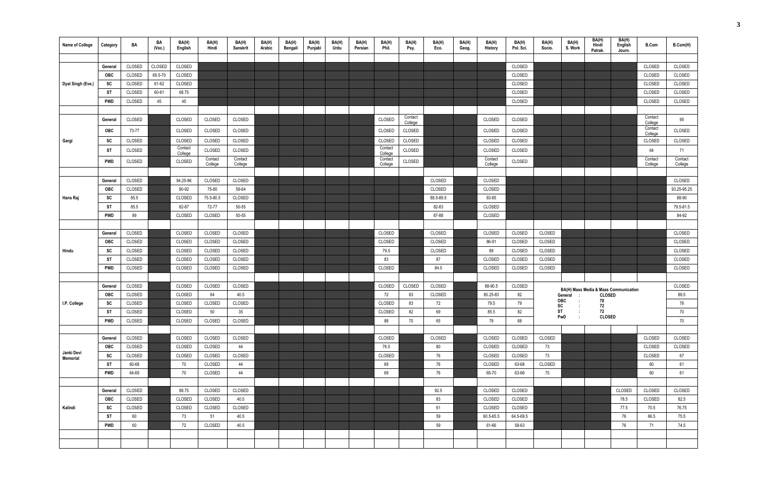| <b>Name of College</b> | Category   | BA     | BA<br>(Vec.) | BA(H)<br>English   | BA(H)<br>Hindi | BA(H)<br><b>Sanskrit</b> | BA(H)<br>Arabic | BA(H)<br>Bengali | BA(H)<br>Punjabi | BA(H)<br>Urdu | BA(H)<br>Persian | BA(H)<br>Phil.     | BA(H)<br>Psy.      | BA(H)<br>Eco. | BA(H)<br>Geog. | BA(H)<br><b>History</b> | BA(H)<br>Pol. Sci. | BA(H)<br>Socio. | BA(H)<br>S. Work | BA(H)<br>Hindi<br>Patrak.             | BA(H)<br>English<br>Journ. | <b>B.Com</b>       | B.Com(H)    |
|------------------------|------------|--------|--------------|--------------------|----------------|--------------------------|-----------------|------------------|------------------|---------------|------------------|--------------------|--------------------|---------------|----------------|-------------------------|--------------------|-----------------|------------------|---------------------------------------|----------------------------|--------------------|-------------|
|                        |            |        |              |                    |                |                          |                 |                  |                  |               |                  |                    |                    |               |                |                         |                    |                 |                  |                                       |                            |                    |             |
|                        | General    | CLOSED | CLOSED       | CLOSED             |                |                          |                 |                  |                  |               |                  |                    |                    |               |                |                         | CLOSED             |                 |                  |                                       |                            | CLOSED             | CLOSED      |
|                        | <b>OBC</b> | CLOSED | 69.5-70      | CLOSED             |                |                          |                 |                  |                  |               |                  |                    |                    |               |                |                         | CLOSED             |                 |                  |                                       |                            | CLOSED             | CLOSED      |
| Dyal Singh (Eve.)      | SC         | CLOSED | 61-62        | CLOSED             |                |                          |                 |                  |                  |               |                  |                    |                    |               |                |                         | CLOSED             |                 |                  |                                       |                            | CLOSED             | CLOSED      |
|                        | ST         | CLOSED | 60-61        | 68.75              |                |                          |                 |                  |                  |               |                  |                    |                    |               |                |                         | CLOSED             |                 |                  |                                       |                            | CLOSED             | CLOSED      |
|                        | PWD        | CLOSED | 45           | 45                 |                |                          |                 |                  |                  |               |                  |                    |                    |               |                |                         | CLOSED             |                 |                  |                                       |                            | CLOSED             | CLOSED      |
|                        |            |        |              |                    |                |                          |                 |                  |                  |               |                  |                    |                    |               |                |                         |                    |                 |                  |                                       |                            |                    |             |
|                        | General    | CLOSED |              | CLOSED             | CLOSED         | CLOSED                   |                 |                  |                  |               |                  | CLOSED             | Contact<br>College |               |                | CLOSED                  | CLOSED             |                 |                  |                                       |                            | Contact<br>College | 95          |
|                        | <b>OBC</b> | 73-77  |              | CLOSED             | CLOSED         | CLOSED                   |                 |                  |                  |               |                  | CLOSED             | CLOSED             |               |                | CLOSED                  | CLOSED             |                 |                  |                                       |                            | Contact<br>College | CLOSED      |
| Gargi                  | SC         | CLOSED |              | CLOSED             | CLOSED         | CLOSED                   |                 |                  |                  |               |                  | CLOSED             | CLOSED             |               |                | CLOSED                  | CLOSED             |                 |                  |                                       |                            | CLOSED             | CLOSED      |
|                        | ST         | CLOSED |              | Contact<br>College | CLOSED         | CLOSED                   |                 |                  |                  |               |                  | Contact<br>College | CLOSED             |               |                | CLOSED                  | CLOSED             |                 |                  |                                       |                            | 64                 | 71          |
|                        | PWD        | CLOSED |              | CLOSED             | Contact        | Contact                  |                 |                  |                  |               |                  | Contact            | CLOSED             |               |                | Contact                 | CLOSED             |                 |                  |                                       |                            | Contact            | Contact     |
|                        |            |        |              |                    | College        | College                  |                 |                  |                  |               |                  | College            |                    |               |                | College                 |                    |                 |                  |                                       |                            | College            | College     |
|                        | General    | CLOSED |              | 94.25-96           | CLOSED         | CLOSED                   |                 |                  |                  |               |                  |                    |                    | CLOSED        |                | CLOSED                  |                    |                 |                  |                                       |                            |                    | CLOSED      |
|                        | <b>OBC</b> | CLOSED |              | 90-92              | 75-80          | 59-64                    |                 |                  |                  |               |                  |                    |                    | CLOSED        |                | CLOSED                  |                    |                 |                  |                                       |                            |                    | 93.25-95.25 |
| Hans Raj               | SC         | 85.5   |              | CLOSED             | 75.5-80.5      | CLOSED                   |                 |                  |                  |               |                  |                    |                    | 88.5-89.5     |                | 83-85                   |                    |                 |                  |                                       |                            |                    | 88-90       |
|                        | <b>ST</b>  | 85.5   |              | 82-87              | 72-77          | 50-55                    |                 |                  |                  |               |                  |                    |                    | 82-83         |                | CLOSED                  |                    |                 |                  |                                       |                            |                    | 79.5-81.5   |
|                        | <b>PWD</b> | 89     |              | CLOSED             | CLOSED         | 50-55                    |                 |                  |                  |               |                  |                    |                    | 87-88         |                | CLOSED                  |                    |                 |                  |                                       |                            |                    | 84-92       |
|                        |            |        |              |                    |                |                          |                 |                  |                  |               |                  |                    |                    |               |                |                         |                    |                 |                  |                                       |                            |                    |             |
|                        | General    | CLOSED |              | CLOSED             | CLOSED         | CLOSED                   |                 |                  |                  |               |                  | CLOSED             |                    | CLOSED        |                | CLOSED                  | CLOSED             | CLOSED          |                  |                                       |                            |                    | CLOSED      |
|                        | <b>OBC</b> | CLOSED |              | CLOSED             | CLOSED         | CLOSED                   |                 |                  |                  |               |                  | CLOSED             |                    | CLOSED        |                | 86-91                   | CLOSED             | CLOSED          |                  |                                       |                            |                    | CLOSED      |
| Hindu                  | SC         | CLOSED |              | CLOSED             | CLOSED         | CLOSED                   |                 |                  |                  |               |                  | 79.5               |                    | CLOSED        |                | 89                      | CLOSED             | CLOSED          |                  |                                       |                            |                    | CLOSED      |
|                        | <b>ST</b>  | CLOSED |              | CLOSED             | CLOSED         | CLOSED                   |                 |                  |                  |               |                  | 83                 |                    | 87            |                | CLOSED                  | CLOSED             | CLOSED          |                  |                                       |                            |                    | CLOSED      |
|                        | PWD        | CLOSED |              | CLOSED             | CLOSED         | CLOSED                   |                 |                  |                  |               |                  | CLOSED             |                    | 84.5          |                | CLOSED                  | CLOSED             | CLOSED          |                  |                                       |                            |                    | CLOSED      |
|                        |            |        |              |                    |                |                          |                 |                  |                  |               |                  |                    |                    |               |                |                         |                    |                 |                  |                                       |                            |                    |             |
|                        | General    | CLOSED |              | CLOSED             | CLOSED         | CLOSED                   |                 |                  |                  |               |                  | CLOSED             | CLOSED             | CLOSED        |                | 88-90.5                 | CLOSED             |                 |                  | BA(H) Mass Media & Mass Communication |                            |                    | CLOSED      |
|                        | <b>OBC</b> | CLOSED |              | CLOSED             | 64             | 40.5                     |                 |                  |                  |               |                  | 72                 | 83                 | CLOSED        |                | 80.25-83                | 82                 |                 | General          | <b>CLOSED</b>                         |                            |                    | 89.5        |
| I.P. College           | SC         | CLOSED |              | CLOSED             | CLOSED         | CLOSED                   |                 |                  |                  |               |                  | CLOSED             | 83                 | 72            |                | 79.5                    | 79                 |                 | OBC<br>SC        | 78<br>72                              |                            |                    | 78          |
|                        | ST         | CLOSED |              | CLOSED             | 50             | 35                       |                 |                  |                  |               |                  | CLOSED             | 82                 | 69            |                | 85.5                    | 82                 |                 | <b>ST</b><br>PwD | 72<br><b>CLOSED</b>                   |                            |                    | 70          |
|                        | PWD        | CLOSED |              | CLOSED             | CLOSED         | CLOSED                   |                 |                  |                  |               |                  | 88                 | 70                 | 65            |                | 79                      | 68                 |                 |                  |                                       |                            |                    | 70          |
|                        |            |        |              |                    |                |                          |                 |                  |                  |               |                  |                    |                    |               |                |                         |                    |                 |                  |                                       |                            |                    |             |
|                        | General    | CLOSED |              | CLOSED             | CLOSED         | CLOSED                   |                 |                  |                  |               |                  | CLOSED             |                    | CLOSED        |                | CLOSED                  | CLOSED             | CLOSED          |                  |                                       |                            | CLOSED             | CLOSED      |
| Janki Devi             | <b>OBC</b> | CLOSED |              | CLOSED             | CLOSED         | 44                       |                 |                  |                  |               |                  | 76.5               |                    | 80            |                | CLOSED                  | CLOSED             | 73              |                  |                                       |                            | CLOSED             | CLOSED      |
| Memorial               | SC         | CLOSED |              | CLOSED             | CLOSED         | CLOSED                   |                 |                  |                  |               |                  | CLOSED             |                    | 76            |                | CLOSED                  | CLOSED             | 73              |                  |                                       |                            | CLOSED             | 67          |
|                        | <b>ST</b>  | 60-68  |              | 70                 | CLOSED         | 44                       |                 |                  |                  |               |                  | 69                 |                    | 76            |                | CLOSED                  | 63-68              | CLOSED          |                  |                                       |                            | 60                 | 61          |
|                        | PWD        | 64-69  |              | 70                 | CLOSED         | 44                       |                 |                  |                  |               |                  | 69                 |                    | 76            |                | 65-70                   | 63-66              | 70              |                  |                                       |                            | 60                 | 61          |
|                        | General    | CLOSED |              | 88.75              | CLOSED         | CLOSED                   |                 |                  |                  |               |                  |                    |                    | 92.5          |                | CLOSED                  | CLOSED             |                 |                  |                                       | CLOSED                     | CLOSED             | CLOSED      |
|                        | OBC        | CLOSED |              | CLOSED             | CLOSED         | 40.5                     |                 |                  |                  |               |                  |                    |                    | 83            |                | CLOSED                  | CLOSED             |                 |                  |                                       | 78.5                       | CLOSED             | 82.5        |
| Kalindi                | SC         | CLOSED |              | CLOSED             | CLOSED         | CLOSED                   |                 |                  |                  |               |                  |                    |                    | 61            |                | CLOSED                  | CLOSED             |                 |                  |                                       | 77.5                       | 70.5               | 76.75       |
|                        | ST         | 60     |              | 73                 | 51             | 40.5                     |                 |                  |                  |               |                  |                    |                    | 59            |                | 60.5-65.5               | 64.5-69.5          |                 |                  |                                       | 76                         | 66.5               | 75.5        |
|                        | <b>PWD</b> | 60     |              | 72                 | CLOSED         | 40.5                     |                 |                  |                  |               |                  |                    |                    | 59            |                | 61-66                   | 58-63              |                 |                  |                                       | 76                         | 71                 | 74.5        |
|                        |            |        |              |                    |                |                          |                 |                  |                  |               |                  |                    |                    |               |                |                         |                    |                 |                  |                                       |                            |                    |             |
|                        |            |        |              |                    |                |                          |                 |                  |                  |               |                  |                    |                    |               |                |                         |                    |                 |                  |                                       |                            |                    |             |
|                        |            |        |              |                    |                |                          |                 |                  |                  |               |                  |                    |                    |               |                |                         |                    |                 |                  |                                       |                            |                    |             |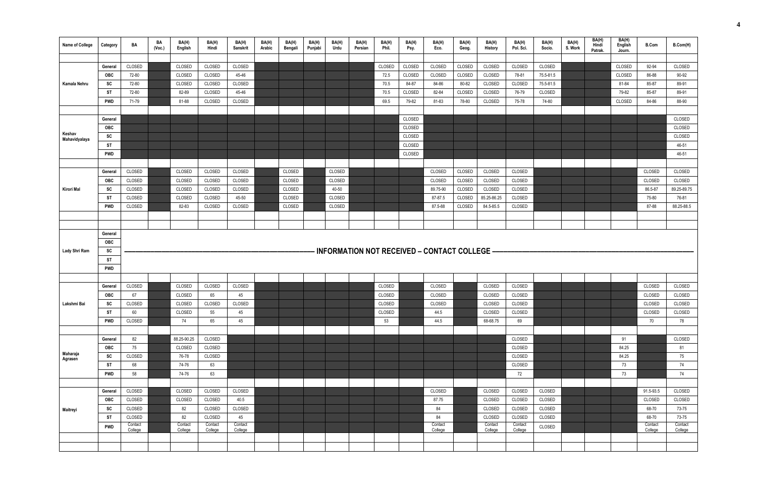| Name of College | Category   | BA                 | BA<br>(Vec.) | BA(H)<br>English   | BA(H)<br>Hindi     | BA(H)<br>Sanskrit  | BA(H)<br>Arabic | BA(H)<br>Bengali | BA(H)<br>Punjabi | BA(H)<br>Urdu | BA(H)<br>Persian | BA(H)<br>Phil. | BA(H)<br>Psy. | BA(H)<br>Eco.                                | BA(H)<br>Geog. | BA(H)<br>History   | BA(H)<br>Pol. Sci. | BA(H)<br>Socio. | BA(H)<br>S. Work | BA(H)<br>Hindi<br>Patrak. | BA(H)<br>English<br>Journ. | <b>B.Com</b>       | B.Com(H)           |
|-----------------|------------|--------------------|--------------|--------------------|--------------------|--------------------|-----------------|------------------|------------------|---------------|------------------|----------------|---------------|----------------------------------------------|----------------|--------------------|--------------------|-----------------|------------------|---------------------------|----------------------------|--------------------|--------------------|
|                 |            |                    |              |                    |                    |                    |                 |                  |                  |               |                  |                |               |                                              |                |                    |                    |                 |                  |                           |                            |                    |                    |
|                 | General    | CLOSED             |              | CLOSED             | CLOSED             | CLOSED             |                 |                  |                  |               |                  | CLOSED         | CLOSED        | CLOSED                                       | CLOSED         | CLOSED             | CLOSED             | CLOSED          |                  |                           | CLOSED                     | 92-94              | <b>CLOSED</b>      |
|                 | OBC        | 72-80              |              | CLOSED             | CLOSED             | 45-46              |                 |                  |                  |               |                  | 72.5           | CLOSED        | CLOSED                                       | CLOSED         | CLOSED             | 78-81              | 75.5-81.5       |                  |                           | CLOSED                     | 86-88              | 90-92              |
| Kamala Nehru    | SC         | 72-80              |              | CLOSED             | CLOSED             | CLOSED             |                 |                  |                  |               |                  | 70.5           | 84-87         | 84-86                                        | 80-82          | CLOSED             | CLOSED             | 75.5-81.5       |                  |                           | 81-84                      | 85-87              | 89-91              |
|                 | ST         | 72-80              |              | 82-89              | CLOSED             | 45-46              |                 |                  |                  |               |                  | 70.5           | CLOSED        | 82-84                                        | CLOSED         | CLOSED             | 76-79              | CLOSED          |                  |                           | 79-82                      | 85-87              | 89-91              |
|                 | <b>PWD</b> | 71-79              |              | 81-88              | CLOSED             | CLOSED             |                 |                  |                  |               |                  | 69.5           | 79-82         | 81-83                                        | 78-80          | CLOSED             | 75-78              | 74-80           |                  |                           | CLOSED                     | 84-86              | 88-90              |
|                 |            |                    |              |                    |                    |                    |                 |                  |                  |               |                  |                |               |                                              |                |                    |                    |                 |                  |                           |                            |                    |                    |
|                 | General    |                    |              |                    |                    |                    |                 |                  |                  |               |                  |                | CLOSED        |                                              |                |                    |                    |                 |                  |                           |                            |                    | CLOSED             |
| Keshav          | OBC        |                    |              |                    |                    |                    |                 |                  |                  |               |                  |                | CLOSED        |                                              |                |                    |                    |                 |                  |                           |                            |                    | <b>CLOSED</b>      |
| Mahavidyalaya   | SC         |                    |              |                    |                    |                    |                 |                  |                  |               |                  |                | CLOSED        |                                              |                |                    |                    |                 |                  |                           |                            |                    | CLOSED             |
|                 | ST         |                    |              |                    |                    |                    |                 |                  |                  |               |                  |                | CLOSED        |                                              |                |                    |                    |                 |                  |                           |                            |                    | 46-51              |
|                 | <b>PWD</b> |                    |              |                    |                    |                    |                 |                  |                  |               |                  |                | CLOSED        |                                              |                |                    |                    |                 |                  |                           |                            |                    | 46-51              |
|                 |            |                    |              |                    |                    |                    |                 |                  |                  |               |                  |                |               |                                              |                |                    |                    |                 |                  |                           |                            |                    |                    |
|                 | General    | CLOSED             |              | CLOSED             | CLOSED             | CLOSED             |                 | CLOSED           |                  | CLOSED        |                  |                |               | CLOSED                                       | CLOSED         | CLOSED             | CLOSED             |                 |                  |                           |                            | CLOSED             | CLOSED             |
|                 | <b>OBC</b> | CLOSED             |              | CLOSED             | CLOSED             | CLOSED             |                 | CLOSED           |                  | CLOSED        |                  |                |               | CLOSED                                       | CLOSED         | CLOSED             | CLOSED             |                 |                  |                           |                            | CLOSED             | CLOSED             |
| Kirori Mal      | SC         | <b>CLOSED</b>      |              | CLOSED             | CLOSED             | CLOSED             |                 | CLOSED           |                  | 40-50         |                  |                |               | 89.75-90                                     | CLOSED         | CLOSED             | CLOSED             |                 |                  |                           |                            | 86.5-87            | 89.25-89.75        |
|                 | ST         | CLOSED             |              | CLOSED             | CLOSED             | 45-50              |                 | CLOSED           |                  | CLOSED        |                  |                |               | 87-87.5                                      | CLOSED         | 85.25-86.25        | CLOSED             |                 |                  |                           |                            | 75-80              | 76-81              |
|                 | <b>PWD</b> | CLOSED             |              | 82-83              | CLOSED             | CLOSED             |                 | CLOSED           |                  | CLOSED        |                  |                |               | 87.5-88                                      | CLOSED         | 84.5-85.5          | CLOSED             |                 |                  |                           |                            | 87-88              | 88.25-88.5         |
|                 |            |                    |              |                    |                    |                    |                 |                  |                  |               |                  |                |               |                                              |                |                    |                    |                 |                  |                           |                            |                    |                    |
|                 |            |                    |              |                    |                    |                    |                 |                  |                  |               |                  |                |               |                                              |                |                    |                    |                 |                  |                           |                            |                    |                    |
|                 | General    |                    |              |                    |                    |                    |                 |                  |                  |               |                  |                |               |                                              |                |                    |                    |                 |                  |                           |                            |                    |                    |
| Lady Shri Ram   | OBC<br>SC  |                    |              |                    |                    |                    |                 |                  |                  |               |                  |                |               | INFORMATION NOT RECEIVED - CONTACT COLLEGE - |                |                    |                    |                 |                  |                           |                            |                    |                    |
|                 | ST         |                    |              |                    |                    |                    |                 |                  |                  |               |                  |                |               |                                              |                |                    |                    |                 |                  |                           |                            |                    |                    |
|                 | <b>PWD</b> |                    |              |                    |                    |                    |                 |                  |                  |               |                  |                |               |                                              |                |                    |                    |                 |                  |                           |                            |                    |                    |
|                 |            |                    |              |                    |                    |                    |                 |                  |                  |               |                  |                |               |                                              |                |                    |                    |                 |                  |                           |                            |                    |                    |
|                 | General    | CLOSED             |              | CLOSED             | CLOSED             | CLOSED             |                 |                  |                  |               |                  | CLOSED         |               | CLOSED                                       |                | CLOSED             | CLOSED             |                 |                  |                           |                            | CLOSED             | CLOSED             |
|                 | <b>OBC</b> | 67                 |              | CLOSED             | 65                 | 45                 |                 |                  |                  |               |                  | CLOSED         |               | CLOSED                                       |                | CLOSED             | CLOSED             |                 |                  |                           |                            | CLOSED             | CLOSED             |
| Lakshmi Bai     | SC         | CLOSED             |              | CLOSED             | CLOSED             | CLOSED             |                 |                  |                  |               |                  | CLOSED         |               | CLOSED                                       |                | CLOSED             | CLOSED             |                 |                  |                           |                            | CLOSED             | CLOSED             |
|                 | <b>ST</b>  | 60                 |              | CLOSED             | 55                 | 45                 |                 |                  |                  |               |                  | CLOSED         |               | 44.5                                         |                | CLOSED             | CLOSED             |                 |                  |                           |                            | CLOSED             | CLOSED             |
|                 | <b>PWD</b> | CLOSED             |              | 74                 | 65                 | 45                 |                 |                  |                  |               |                  | 53             |               | 44.5                                         |                | 68-68.75           | 69                 |                 |                  |                           |                            | 70                 | 78                 |
|                 |            |                    |              |                    |                    |                    |                 |                  |                  |               |                  |                |               |                                              |                |                    |                    |                 |                  |                           |                            |                    |                    |
|                 | General    | 82                 |              | 88.25-90.25        | CLOSED             |                    |                 |                  |                  |               |                  |                |               |                                              |                |                    | CLOSED             |                 |                  |                           | 91                         |                    | CLOSED             |
|                 | OBC        | 75                 |              | CLOSED             | CLOSED             |                    |                 |                  |                  |               |                  |                |               |                                              |                |                    | CLOSED             |                 |                  |                           | 84.25                      |                    | 81                 |
| Maharaja        | SC         | CLOSED             |              | 76-78              | CLOSED             |                    |                 |                  |                  |               |                  |                |               |                                              |                |                    | CLOSED             |                 |                  |                           | 84.25                      |                    | 75                 |
| Agrasen         | <b>ST</b>  | 68                 |              | 74-76              | 63                 |                    |                 |                  |                  |               |                  |                |               |                                              |                |                    | CLOSED             |                 |                  |                           | 73                         |                    | 74                 |
|                 | <b>PWD</b> | 58                 |              | 74-76              | 63                 |                    |                 |                  |                  |               |                  |                |               |                                              |                |                    | 72                 |                 |                  |                           | 73                         |                    | 74                 |
|                 |            |                    |              |                    |                    |                    |                 |                  |                  |               |                  |                |               |                                              |                |                    |                    |                 |                  |                           |                            |                    |                    |
|                 | General    | CLOSED             |              | CLOSED             | CLOSED             | CLOSED             |                 |                  |                  |               |                  |                |               | CLOSED                                       |                | CLOSED             | CLOSED             | CLOSED          |                  |                           |                            | 91.5-93.5          | CLOSED             |
|                 | <b>OBC</b> | CLOSED             |              | CLOSED             | CLOSED             | 40.5               |                 |                  |                  |               |                  |                |               | 87.75                                        |                | CLOSED             | CLOSED             | CLOSED          |                  |                           |                            | CLOSED             | CLOSED             |
| Maitreyi        | SC         | CLOSED             |              | 82                 | CLOSED             | CLOSED             |                 |                  |                  |               |                  |                |               | 84                                           |                | CLOSED             | CLOSED             | CLOSED          |                  |                           |                            | 68-70              | 73-75              |
|                 | ST         | CLOSED             |              | 82                 | CLOSED             | 45                 |                 |                  |                  |               |                  |                |               | 84                                           |                | CLOSED             | CLOSED             | CLOSED          |                  |                           |                            | 68-70              | 73-75              |
|                 | <b>PWD</b> | Contact<br>College |              | Contact<br>College | Contact<br>College | Contact<br>College |                 |                  |                  |               |                  |                |               | Contact<br>College                           |                | Contact<br>College | Contact<br>College | CLOSED          |                  |                           |                            | Contact<br>College | Contact<br>College |
|                 |            |                    |              |                    |                    |                    |                 |                  |                  |               |                  |                |               |                                              |                |                    |                    |                 |                  |                           |                            |                    |                    |
|                 |            |                    |              |                    |                    |                    |                 |                  |                  |               |                  |                |               |                                              |                |                    |                    |                 |                  |                           |                            |                    |                    |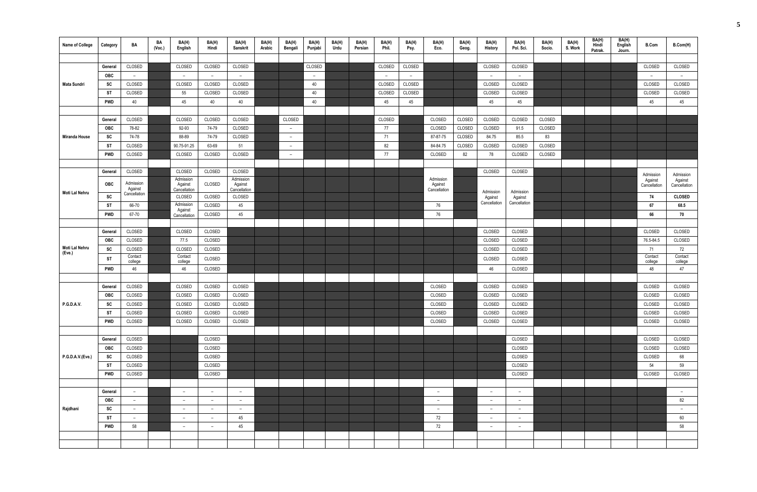| <b>Name of College</b> | Category              | BA                      | BA<br>(Vec.) | BA(H)<br>English         | BA(H)<br>Hindi           | BA(H)<br><b>Sanskrit</b> | BA(H)<br>Arabic | BA(H)<br>Bengali         | BA(H)<br>Punjabi | BA(H)<br>Urdu | BA(H)<br>Persian | BA(H)<br>Phil. | BA(H)<br>Psy. | BA(H)<br>Eco.            | BA(H)<br>Geog. | BA(H)<br><b>History</b>  | BA(H)<br>Pol. Sci.       | BA(H)<br>Socio. | BA(H)<br>S. Work | BA(H)<br>Hindi<br>Patrak. | BA(H)<br>English<br>Journ. | <b>B.Com</b>            | B.Com(H)                 |
|------------------------|-----------------------|-------------------------|--------------|--------------------------|--------------------------|--------------------------|-----------------|--------------------------|------------------|---------------|------------------|----------------|---------------|--------------------------|----------------|--------------------------|--------------------------|-----------------|------------------|---------------------------|----------------------------|-------------------------|--------------------------|
|                        |                       |                         |              |                          |                          |                          |                 |                          |                  |               |                  |                |               |                          |                |                          |                          |                 |                  |                           |                            |                         |                          |
|                        | General               | CLOSED                  |              | CLOSED                   | CLOSED                   | CLOSED                   |                 |                          | CLOSED           |               |                  | CLOSED         | CLOSED        |                          |                | CLOSED                   | CLOSED                   |                 |                  |                           |                            | CLOSED                  | CLOSED                   |
|                        | <b>OBC</b>            | $ \,$                   |              | $\overline{a}$           | $-$                      | $ \,$                    |                 |                          | $-$              |               |                  | $-$            | $ \,$         |                          |                | $ \,$                    | $-$                      |                 |                  |                           |                            | $ \,$                   | $-$                      |
| Mata Sundri            | SC                    | CLOSED                  |              | CLOSED                   | CLOSED                   | CLOSED                   |                 |                          | 40               |               |                  | CLOSED         | CLOSED        |                          |                | CLOSED                   | CLOSED                   |                 |                  |                           |                            | CLOSED                  | CLOSED                   |
|                        | ST                    | CLOSED                  |              | 55                       | CLOSED                   | CLOSED                   |                 |                          | 40               |               |                  | CLOSED         | CLOSED        |                          |                | CLOSED                   | CLOSED                   |                 |                  |                           |                            | CLOSED                  | CLOSED                   |
|                        | <b>PWD</b>            | 40                      |              | 45                       | 40                       | 40                       |                 |                          | 40               |               |                  | 45             | 45            |                          |                | 45                       | 45                       |                 |                  |                           |                            | 45                      | 45                       |
|                        |                       |                         |              |                          |                          |                          |                 |                          |                  |               |                  |                |               |                          |                |                          |                          |                 |                  |                           |                            |                         |                          |
|                        | General               | CLOSED                  |              | CLOSED                   | CLOSED                   | CLOSED                   |                 | CLOSED                   |                  |               |                  | CLOSED         |               | CLOSED                   | CLOSED         | CLOSED                   | CLOSED                   | CLOSED          |                  |                           |                            |                         |                          |
|                        | <b>OBC</b>            | 78-82                   |              | 92-93                    | 74-79                    | CLOSED                   |                 | $\sim$                   |                  |               |                  | 77             |               | CLOSED                   | CLOSED         | CLOSED                   | 91.5                     | CLOSED          |                  |                           |                            |                         |                          |
| <b>Miranda House</b>   | SC                    | 74-78                   |              | 88-89                    | 74-79                    | CLOSED                   |                 | $\overline{\phantom{0}}$ |                  |               |                  | 71             |               | 87-87-75                 | CLOSED         | 84.75                    | 85.5                     | 83              |                  |                           |                            |                         |                          |
|                        | ST                    | CLOSED                  |              | 90.75-91.25              | 63-69                    | 51                       |                 | $ \,$                    |                  |               |                  | 82             |               | 84-84.75                 | CLOSED         | CLOSED                   | CLOSED                   | CLOSED          |                  |                           |                            |                         |                          |
|                        | <b>PWD</b>            | CLOSED                  |              | CLOSED                   | CLOSED                   | CLOSED                   |                 | $\overline{\phantom{a}}$ |                  |               |                  | 77             |               | CLOSED                   | 82             | 78                       | CLOSED                   | CLOSED          |                  |                           |                            |                         |                          |
|                        |                       |                         |              |                          |                          |                          |                 |                          |                  |               |                  |                |               |                          |                |                          |                          |                 |                  |                           |                            |                         |                          |
|                        | General               | CLOSED                  |              | CLOSED                   | CLOSED                   | CLOSED                   |                 |                          |                  |               |                  |                |               |                          |                | CLOSED                   | CLOSED                   |                 |                  |                           |                            | Admission               | Admission                |
|                        | <b>OBC</b>            | Admission               |              | Admission<br>Against     | CLOSED                   | Admission<br>Against     |                 |                          |                  |               |                  |                |               | Admission<br>Against     |                |                          |                          |                 |                  |                           |                            | Against<br>Cancellation | Against<br>Cancellation  |
| Moti Lal Nehru         |                       | Against<br>Cancellation |              | Cancellation             |                          | Cancellation             |                 |                          |                  |               |                  |                |               | Cancellation             |                | Admission                | Admission                |                 |                  |                           |                            |                         |                          |
|                        | SC                    |                         |              | CLOSED<br>Admission      | CLOSED                   | CLOSED                   |                 |                          |                  |               |                  |                |               |                          |                | Against<br>Cancellation  | Against<br>Cancellation  |                 |                  |                           |                            | 74                      | <b>CLOSED</b>            |
|                        | <b>ST</b>             | 66-70                   |              | Against                  | CLOSED                   | 45                       |                 |                          |                  |               |                  |                |               | 76                       |                |                          |                          |                 |                  |                           |                            | 67                      | 68.5                     |
|                        | <b>PWD</b>            | 67-70                   |              | Cancellation             | CLOSED                   | 45                       |                 |                          |                  |               |                  |                |               | 76                       |                |                          |                          |                 |                  |                           |                            | 66                      | 70                       |
|                        |                       | CLOSED                  |              | CLOSED                   | CLOSED                   |                          |                 |                          |                  |               |                  |                |               |                          |                | CLOSED                   | CLOSED                   |                 |                  |                           |                            | CLOSED                  | CLOSED                   |
|                        | General<br><b>OBC</b> | CLOSED                  |              | 77.5                     | CLOSED                   |                          |                 |                          |                  |               |                  |                |               |                          |                | CLOSED                   | CLOSED                   |                 |                  |                           |                            | 76.5-84.5               | CLOSED                   |
| Moti Lal Nehru         | SC                    | CLOSED                  |              | CLOSED                   | CLOSED                   |                          |                 |                          |                  |               |                  |                |               |                          |                | CLOSED                   | CLOSED                   |                 |                  |                           |                            | 71                      | 72                       |
| (Eve.)                 |                       | Contact                 |              | Contact                  |                          |                          |                 |                          |                  |               |                  |                |               |                          |                |                          |                          |                 |                  |                           |                            | Contact                 | Contact                  |
|                        | ST                    | college                 |              | college                  | CLOSED                   |                          |                 |                          |                  |               |                  |                |               |                          |                | CLOSED                   | CLOSED                   |                 |                  |                           |                            | college                 | college                  |
|                        | <b>PWD</b>            | 46                      |              | 46                       | CLOSED                   |                          |                 |                          |                  |               |                  |                |               |                          |                | 46                       | CLOSED                   |                 |                  |                           |                            | 48                      | 47                       |
|                        |                       |                         |              |                          |                          |                          |                 |                          |                  |               |                  |                |               |                          |                |                          |                          |                 |                  |                           |                            |                         |                          |
|                        | General               | CLOSED                  |              | CLOSED                   | CLOSED                   | CLOSED                   |                 |                          |                  |               |                  |                |               | CLOSED                   |                | CLOSED                   | CLOSED                   |                 |                  |                           |                            | CLOSED                  | CLOSED                   |
|                        | <b>OBC</b>            | CLOSED                  |              | CLOSED                   | CLOSED                   | CLOSED                   |                 |                          |                  |               |                  |                |               | CLOSED                   |                | CLOSED                   | CLOSED                   |                 |                  |                           |                            | CLOSED                  | CLOSED                   |
| P.G.D.A.V.             | SC                    | CLOSED                  |              | CLOSED                   | CLOSED                   | CLOSED                   |                 |                          |                  |               |                  |                |               | CLOSED                   |                | CLOSED                   | CLOSED                   |                 |                  |                           |                            | CLOSED                  | CLOSED                   |
|                        | <b>ST</b>             | CLOSED                  |              | CLOSED                   | CLOSED                   | CLOSED                   |                 |                          |                  |               |                  |                |               | CLOSED                   |                | CLOSED                   | CLOSED                   |                 |                  |                           |                            | CLOSED                  | CLOSED                   |
|                        | <b>PWD</b>            | CLOSED                  |              | CLOSED                   | CLOSED                   | CLOSED                   |                 |                          |                  |               |                  |                |               | CLOSED                   |                | CLOSED                   | CLOSED                   |                 |                  |                           |                            | CLOSED                  | CLOSED                   |
|                        |                       | CLOSED                  |              |                          | CLOSED                   |                          |                 |                          |                  |               |                  |                |               |                          |                |                          | CLOSED                   |                 |                  |                           |                            | CLOSED                  | CLOSED                   |
|                        | General<br><b>OBC</b> | CLOSED                  |              |                          | CLOSED                   |                          |                 |                          |                  |               |                  |                |               |                          |                |                          | CLOSED                   |                 |                  |                           |                            | CLOSED                  | CLOSED                   |
| P.G.D.A.V.(Eve.)       | SC                    | CLOSED                  |              |                          | CLOSED                   |                          |                 |                          |                  |               |                  |                |               |                          |                |                          | CLOSED                   |                 |                  |                           |                            | CLOSED                  | 68                       |
|                        | ST                    | CLOSED                  |              |                          | CLOSED                   |                          |                 |                          |                  |               |                  |                |               |                          |                |                          | CLOSED                   |                 |                  |                           |                            | 54                      | 59                       |
|                        | <b>PWD</b>            | CLOSED                  |              |                          | CLOSED                   |                          |                 |                          |                  |               |                  |                |               |                          |                |                          | CLOSED                   |                 |                  |                           |                            | CLOSED                  | CLOSED                   |
|                        |                       |                         |              |                          |                          |                          |                 |                          |                  |               |                  |                |               |                          |                |                          |                          |                 |                  |                           |                            |                         |                          |
|                        | General               | $ \,$                   |              | $\overline{\phantom{a}}$ | $\qquad \qquad -$        | $-$                      |                 |                          |                  |               |                  |                |               | $\overline{\phantom{a}}$ |                | $\overline{\phantom{a}}$ | $\qquad \qquad -$        |                 |                  |                           |                            |                         | $-$                      |
|                        | <b>OBC</b>            | $-$                     |              | $\overline{\phantom{a}}$ |                          | $\overline{\phantom{a}}$ |                 |                          |                  |               |                  |                |               | $\overline{\phantom{a}}$ |                | $\overline{\phantom{0}}$ | $\overline{\phantom{m}}$ |                 |                  |                           |                            |                         | 82                       |
| Rajdhani               | SC                    | $ \,$                   |              | $\overline{\phantom{a}}$ | $\qquad \qquad -$        | $\overline{\phantom{a}}$ |                 |                          |                  |               |                  |                |               | $\overline{\phantom{a}}$ |                | $\overline{\phantom{a}}$ | $\overline{\phantom{m}}$ |                 |                  |                           |                            |                         | $\overline{\phantom{a}}$ |
|                        | ST                    |                         |              | $\overline{\phantom{a}}$ | $\overline{\phantom{0}}$ | 45                       |                 |                          |                  |               |                  |                |               | 72                       |                | $\overline{\phantom{a}}$ | $\overline{\phantom{a}}$ |                 |                  |                           |                            |                         | 60                       |
|                        | <b>PWD</b>            | 58                      |              | $\overline{\phantom{a}}$ | $\overline{\phantom{0}}$ | 45                       |                 |                          |                  |               |                  |                |               | 72                       |                | $\overline{\phantom{0}}$ | $\overline{\phantom{0}}$ |                 |                  |                           |                            |                         | 58                       |
|                        |                       |                         |              |                          |                          |                          |                 |                          |                  |               |                  |                |               |                          |                |                          |                          |                 |                  |                           |                            |                         |                          |
|                        |                       |                         |              |                          |                          |                          |                 |                          |                  |               |                  |                |               |                          |                |                          |                          |                 |                  |                           |                            |                         |                          |
|                        |                       |                         |              |                          |                          |                          |                 |                          |                  |               |                  |                |               |                          |                |                          |                          |                 |                  |                           |                            |                         |                          |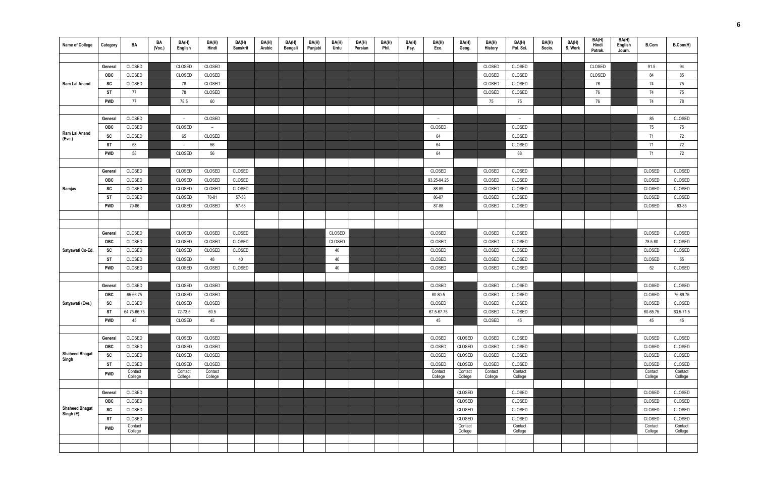| <b>Name of College</b>             | Category   | BA                 | BA<br>(Vec.) | BA(H)<br>English         | BA(H)<br>Hindi     | BA(H)<br>Sanskrit | BA(H)<br>Arabic | BA(H)<br>Bengali | BA(H)<br>Punjabi | BA(H)<br>Urdu | BA(H)<br>Persian | BA(H)<br>Phil. | BA(H)<br>Psy. | BA(H)<br>Eco.      | BA(H)<br>Geog.     | BA(H)<br>History   | BA(H)<br>Pol. Sci. | BA(H)<br>Socio. | BA(H)<br>S. Work | BA(H)<br>Hindi<br>Patrak. | BA(H)<br>English<br>Journ. | <b>B.Com</b>       | B.Com(H)           |
|------------------------------------|------------|--------------------|--------------|--------------------------|--------------------|-------------------|-----------------|------------------|------------------|---------------|------------------|----------------|---------------|--------------------|--------------------|--------------------|--------------------|-----------------|------------------|---------------------------|----------------------------|--------------------|--------------------|
|                                    |            |                    |              |                          |                    |                   |                 |                  |                  |               |                  |                |               |                    |                    |                    |                    |                 |                  |                           |                            |                    |                    |
|                                    | General    | CLOSED             |              | CLOSED                   | CLOSED             |                   |                 |                  |                  |               |                  |                |               |                    |                    | CLOSED             | CLOSED             |                 |                  | CLOSED                    |                            | 91.5               | 94                 |
|                                    | OBC        | CLOSED             |              | CLOSED                   | CLOSED             |                   |                 |                  |                  |               |                  |                |               |                    |                    | CLOSED             | CLOSED             |                 |                  | CLOSED                    |                            | 84                 | 85                 |
| Ram Lal Anand                      | SC         | CLOSED             |              | 78                       | CLOSED             |                   |                 |                  |                  |               |                  |                |               |                    |                    | CLOSED             | CLOSED             |                 |                  | 76                        |                            | 74                 | 75                 |
|                                    | ST         | 77                 |              | 78                       | CLOSED             |                   |                 |                  |                  |               |                  |                |               |                    |                    | CLOSED             | CLOSED             |                 |                  | 76                        |                            | 74                 | 75                 |
|                                    | PWD        | 77                 |              | 78.5                     | 60                 |                   |                 |                  |                  |               |                  |                |               |                    |                    | 75                 | 75                 |                 |                  | 76                        |                            | 74                 | 78                 |
|                                    |            |                    |              |                          |                    |                   |                 |                  |                  |               |                  |                |               |                    |                    |                    |                    |                 |                  |                           |                            |                    |                    |
|                                    | General    | CLOSED             |              | $\overline{\phantom{0}}$ | CLOSED             |                   |                 |                  |                  |               |                  |                |               | $-$                |                    |                    | $ \,$              |                 |                  |                           |                            | 85                 | CLOSED             |
|                                    | <b>OBC</b> | CLOSED             |              | CLOSED                   | $ \,$              |                   |                 |                  |                  |               |                  |                |               | CLOSED             |                    |                    | CLOSED             |                 |                  |                           |                            | 75                 | 75                 |
| Ram Lal Anand<br>(Eve.)            | SC         | CLOSED             |              | 65                       | CLOSED             |                   |                 |                  |                  |               |                  |                |               | 64                 |                    |                    | CLOSED             |                 |                  |                           |                            | 71                 | 72                 |
|                                    | <b>ST</b>  | 58                 |              | $\overline{\phantom{a}}$ | 56                 |                   |                 |                  |                  |               |                  |                |               | 64                 |                    |                    | CLOSED             |                 |                  |                           |                            | 71                 | 72                 |
|                                    | <b>PWD</b> | 58                 |              | CLOSED                   | 56                 |                   |                 |                  |                  |               |                  |                |               | 64                 |                    |                    | 68                 |                 |                  |                           |                            | 71                 | 72                 |
|                                    |            |                    |              |                          |                    |                   |                 |                  |                  |               |                  |                |               |                    |                    |                    |                    |                 |                  |                           |                            |                    |                    |
|                                    | General    | CLOSED             |              | CLOSED                   | CLOSED             | CLOSED            |                 |                  |                  |               |                  |                |               | CLOSED             |                    | CLOSED             | CLOSED             |                 |                  |                           |                            | CLOSED             | CLOSED             |
|                                    | <b>OBC</b> | CLOSED             |              | CLOSED                   | CLOSED             | CLOSED            |                 |                  |                  |               |                  |                |               | 93.25-94.25        |                    | CLOSED             | CLOSED             |                 |                  |                           |                            | CLOSED             | CLOSED             |
| Ramjas                             | SC         | CLOSED             |              | CLOSED                   | CLOSED             | CLOSED            |                 |                  |                  |               |                  |                |               | 88-89              |                    | CLOSED             | CLOSED             |                 |                  |                           |                            | CLOSED             | CLOSED             |
|                                    | ST         | CLOSED             |              | CLOSED                   | 70-81              | 57-58             |                 |                  |                  |               |                  |                |               | 86-87              |                    | CLOSED             | CLOSED             |                 |                  |                           |                            | CLOSED             | CLOSED             |
|                                    | <b>PWD</b> | 79-86              |              | CLOSED                   | CLOSED             | 57-58             |                 |                  |                  |               |                  |                |               | 87-88              |                    | CLOSED             | CLOSED             |                 |                  |                           |                            | CLOSED             | 83-85              |
|                                    |            |                    |              |                          |                    |                   |                 |                  |                  |               |                  |                |               |                    |                    |                    |                    |                 |                  |                           |                            |                    |                    |
|                                    |            |                    |              |                          |                    |                   |                 |                  |                  |               |                  |                |               |                    |                    |                    |                    |                 |                  |                           |                            |                    |                    |
|                                    | General    | CLOSED             |              | CLOSED                   | CLOSED             | CLOSED            |                 |                  |                  | CLOSED        |                  |                |               | CLOSED             |                    | CLOSED             | CLOSED             |                 |                  |                           |                            | CLOSED             | CLOSED             |
|                                    | <b>OBC</b> | CLOSED             |              | CLOSED                   | CLOSED             | CLOSED            |                 |                  |                  | CLOSED        |                  |                |               | CLOSED             |                    | CLOSED             | CLOSED             |                 |                  |                           |                            | 78.5-80            | CLOSED             |
| Satyawati Co-Ed.                   | SC         | CLOSED             |              | CLOSED                   | CLOSED             | CLOSED            |                 |                  |                  | 40            |                  |                |               | CLOSED             |                    | CLOSED             | CLOSED             |                 |                  |                           |                            | CLOSED             | CLOSED             |
|                                    | <b>ST</b>  | CLOSED             |              | CLOSED                   | 48                 | 40                |                 |                  |                  | 40            |                  |                |               | CLOSED             |                    | CLOSED             | CLOSED             |                 |                  |                           |                            | CLOSED             | 55                 |
|                                    | PWD        | CLOSED             |              | CLOSED                   | CLOSED             | CLOSED            |                 |                  |                  | 40            |                  |                |               | CLOSED             |                    | CLOSED             | CLOSED             |                 |                  |                           |                            | 52                 | CLOSED             |
|                                    |            |                    |              |                          |                    |                   |                 |                  |                  |               |                  |                |               |                    |                    |                    |                    |                 |                  |                           |                            |                    |                    |
|                                    | General    | CLOSED             |              | CLOSED                   | CLOSED             |                   |                 |                  |                  |               |                  |                |               | CLOSED             |                    | CLOSED             | CLOSED             |                 |                  |                           |                            | CLOSED             | CLOSED             |
|                                    | <b>OBC</b> | 65-66.75           |              | CLOSED                   | CLOSED             |                   |                 |                  |                  |               |                  |                |               | 80-80.5            |                    | CLOSED             | CLOSED             |                 |                  |                           |                            | CLOSED             | 76-89.75           |
| Satyawati (Eve.)                   | SC         | CLOSED             |              | CLOSED                   | CLOSED             |                   |                 |                  |                  |               |                  |                |               | CLOSED             |                    | CLOSED             | CLOSED             |                 |                  |                           |                            | CLOSED             | CLOSED             |
|                                    | <b>ST</b>  | 64.75-66.75        |              | 72-73.5                  | 60.5               |                   |                 |                  |                  |               |                  |                |               | 67.5-67.75         |                    | CLOSED             | CLOSED             |                 |                  |                           |                            | 60-65.75           | 63.5-71.5          |
|                                    | PWD        | 45                 |              | CLOSED                   | 45                 |                   |                 |                  |                  |               |                  |                |               | 45                 |                    | CLOSED             | 45                 |                 |                  |                           |                            | 45                 | 45                 |
|                                    |            |                    |              |                          |                    |                   |                 |                  |                  |               |                  |                |               |                    |                    |                    |                    |                 |                  |                           |                            |                    |                    |
|                                    | General    | CLOSED             |              | CLOSED                   | CLOSED             |                   |                 |                  |                  |               |                  |                |               | CLOSED             | CLOSED             | CLOSED             | CLOSED             |                 |                  |                           |                            | CLOSED             | CLOSED             |
|                                    | OBC        | CLOSED             |              | CLOSED                   | CLOSED             |                   |                 |                  |                  |               |                  |                |               | CLOSED             | CLOSED             | CLOSED             | CLOSED             |                 |                  |                           |                            | CLOSED             | CLOSED             |
| <b>Shaheed Bhagat</b><br>Singh     | SC         | CLOSED             |              | CLOSED                   | CLOSED             |                   |                 |                  |                  |               |                  |                |               | CLOSED             | CLOSED             | CLOSED             | CLOSED             |                 |                  |                           |                            | CLOSED             | CLOSED             |
|                                    | ST         | CLOSED             |              | CLOSED                   | CLOSED             |                   |                 |                  |                  |               |                  |                |               | CLOSED             | CLOSED             | CLOSED             | CLOSED             |                 |                  |                           |                            | CLOSED             | CLOSED             |
|                                    | <b>PWD</b> | Contact<br>College |              | Contact<br>College       | Contact<br>College |                   |                 |                  |                  |               |                  |                |               | Contact<br>College | Contact<br>College | Contact<br>College | Contact<br>College |                 |                  |                           |                            | Contact<br>College | Contact<br>College |
|                                    |            |                    |              |                          |                    |                   |                 |                  |                  |               |                  |                |               |                    |                    |                    |                    |                 |                  |                           |                            |                    |                    |
|                                    | General    | CLOSED             |              |                          |                    |                   |                 |                  |                  |               |                  |                |               |                    | CLOSED             |                    | CLOSED             |                 |                  |                           |                            | CLOSED             | CLOSED             |
|                                    | <b>OBC</b> | CLOSED             |              |                          |                    |                   |                 |                  |                  |               |                  |                |               |                    | CLOSED             |                    | CLOSED             |                 |                  |                           |                            | CLOSED             | CLOSED             |
| <b>Shaheed Bhagat</b><br>Singh (E) | <b>SC</b>  | CLOSED             |              |                          |                    |                   |                 |                  |                  |               |                  |                |               |                    | CLOSED             |                    | CLOSED             |                 |                  |                           |                            | CLOSED             | CLOSED             |
|                                    | <b>ST</b>  | CLOSED             |              |                          |                    |                   |                 |                  |                  |               |                  |                |               |                    | CLOSED             |                    | CLOSED             |                 |                  |                           |                            | CLOSED             | CLOSED             |
|                                    | PWD        | Contact<br>College |              |                          |                    |                   |                 |                  |                  |               |                  |                |               |                    | Contact<br>College |                    | Contact<br>College |                 |                  |                           |                            | Contact<br>College | Contact<br>College |
|                                    |            |                    |              |                          |                    |                   |                 |                  |                  |               |                  |                |               |                    |                    |                    |                    |                 |                  |                           |                            |                    |                    |
|                                    |            |                    |              |                          |                    |                   |                 |                  |                  |               |                  |                |               |                    |                    |                    |                    |                 |                  |                           |                            |                    |                    |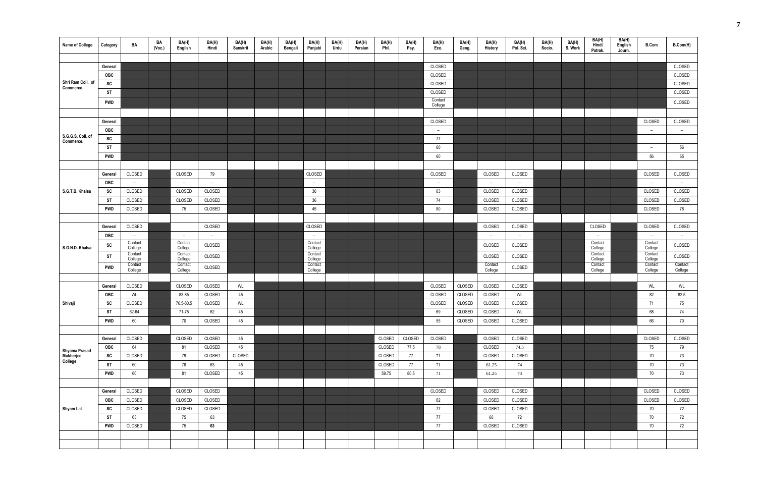| <b>Name of College</b>         | Category   | BA                 | BA<br>(Vec.) | BA(H)<br>English         | BA(H)<br>Hindi | BA(H)<br>Sanskrit | BA(H)<br>Arabic | BA(H)<br>Bengali | BA(H)<br>Punjabi   | BA(H)<br>Urdu | BA(H)<br>Persian | BA(H)<br>Phil. | BA(H)<br>Psy. | BA(H)<br>Eco.            | BA(H)<br>Geog. | BA(H)<br><b>History</b>  | BA(H)<br>Pol. Sci. | BA(H)<br>Socio. | BA(H)<br>S. Work | BA(H)<br>Hindi<br>Patrak. | BA(H)<br>English<br>Journ. | <b>B.Com</b>             | B.Com(H)                 |
|--------------------------------|------------|--------------------|--------------|--------------------------|----------------|-------------------|-----------------|------------------|--------------------|---------------|------------------|----------------|---------------|--------------------------|----------------|--------------------------|--------------------|-----------------|------------------|---------------------------|----------------------------|--------------------------|--------------------------|
|                                |            |                    |              |                          |                |                   |                 |                  |                    |               |                  |                |               |                          |                |                          |                    |                 |                  |                           |                            |                          |                          |
|                                | General    |                    |              |                          |                |                   |                 |                  |                    |               |                  |                |               | CLOSED                   |                |                          |                    |                 |                  |                           |                            |                          | CLOSED                   |
|                                | OBC        |                    |              |                          |                |                   |                 |                  |                    |               |                  |                |               | CLOSED                   |                |                          |                    |                 |                  |                           |                            |                          | CLOSED                   |
| Shri Ram Coll. of<br>Commerce. | SC         |                    |              |                          |                |                   |                 |                  |                    |               |                  |                |               | CLOSED                   |                |                          |                    |                 |                  |                           |                            |                          | CLOSED                   |
|                                | ST         |                    |              |                          |                |                   |                 |                  |                    |               |                  |                |               | CLOSED                   |                |                          |                    |                 |                  |                           |                            |                          | CLOSED                   |
|                                | <b>PWD</b> |                    |              |                          |                |                   |                 |                  |                    |               |                  |                |               | Contact<br>College       |                |                          |                    |                 |                  |                           |                            |                          | CLOSED                   |
|                                |            |                    |              |                          |                |                   |                 |                  |                    |               |                  |                |               |                          |                |                          |                    |                 |                  |                           |                            |                          |                          |
|                                | General    |                    |              |                          |                |                   |                 |                  |                    |               |                  |                |               | CLOSED                   |                |                          |                    |                 |                  |                           |                            | CLOSED                   | CLOSED                   |
|                                | OBC        |                    |              |                          |                |                   |                 |                  |                    |               |                  |                |               | $\overline{\phantom{a}}$ |                |                          |                    |                 |                  |                           |                            | $\overline{\phantom{0}}$ | $\overline{a}$           |
| S.G.G.S. Coll. of<br>Commerce. | SC         |                    |              |                          |                |                   |                 |                  |                    |               |                  |                |               | 77                       |                |                          |                    |                 |                  |                           |                            | $-$                      | $\overline{\phantom{a}}$ |
|                                | ST         |                    |              |                          |                |                   |                 |                  |                    |               |                  |                |               | 60                       |                |                          |                    |                 |                  |                           |                            | $\overline{\phantom{a}}$ | 56                       |
|                                | <b>PWD</b> |                    |              |                          |                |                   |                 |                  |                    |               |                  |                |               | 60                       |                |                          |                    |                 |                  |                           |                            | 56                       | 65                       |
|                                |            |                    |              |                          |                |                   |                 |                  |                    |               |                  |                |               |                          |                |                          |                    |                 |                  |                           |                            |                          |                          |
|                                | General    | CLOSED             |              | CLOSED                   | 79             |                   |                 |                  | CLOSED             |               |                  |                |               | CLOSED                   |                | CLOSED                   | CLOSED             |                 |                  |                           |                            | CLOSED                   | CLOSED                   |
|                                | <b>OBC</b> | $ \,$              |              | $ \,$                    | $-$            |                   |                 |                  | $-$                |               |                  |                |               | $\sim$                   |                | $\overline{\phantom{a}}$ | $\sim$             |                 |                  |                           |                            | $ \,$                    | $ \,$                    |
| S.G.T.B. Khalsa                | SC         | CLOSED             |              | CLOSED                   | CLOSED         |                   |                 |                  | 36                 |               |                  |                |               | 83                       |                | CLOSED                   | CLOSED             |                 |                  |                           |                            | CLOSED                   | CLOSED                   |
|                                | ST         | CLOSED             |              | CLOSED                   | CLOSED         |                   |                 |                  | 36                 |               |                  |                |               | 74                       |                | CLOSED                   | CLOSED             |                 |                  |                           |                            | CLOSED                   | CLOSED                   |
|                                | <b>PWD</b> | CLOSED             |              | 75                       | CLOSED         |                   |                 |                  | 45                 |               |                  |                |               | 80                       |                | CLOSED                   | CLOSED             |                 |                  |                           |                            | CLOSED                   | 78                       |
|                                |            |                    |              |                          |                |                   |                 |                  |                    |               |                  |                |               |                          |                |                          |                    |                 |                  |                           |                            |                          |                          |
|                                | General    | CLOSED             |              |                          | CLOSED         |                   |                 |                  | CLOSED             |               |                  |                |               |                          |                | CLOSED                   | CLOSED             |                 |                  | CLOSED                    |                            | CLOSED                   | CLOSED                   |
|                                | <b>OBC</b> | $ \,$              |              | $\overline{\phantom{a}}$ | $-$            |                   |                 |                  | $ \,$              |               |                  |                |               |                          |                | $\overline{\phantom{a}}$ | $\sim$             |                 |                  | $ \,$                     |                            | $ \,$                    | $\overline{a}$           |
| S.G.N.D. Khalsa                | SC         | Contact<br>College |              | Contact<br>College       | CLOSED         |                   |                 |                  | Contact<br>College |               |                  |                |               |                          |                | CLOSED                   | CLOSED             |                 |                  | Contact<br>College        |                            | Contact<br>College       | CLOSED                   |
|                                | ST         | Contact<br>College |              | Contact<br>College       | CLOSED         |                   |                 |                  | Contact<br>College |               |                  |                |               |                          |                | CLOSED                   | CLOSED             |                 |                  | Contact<br>College        |                            | Contact<br>College       | CLOSED                   |
|                                | <b>PWD</b> | Contact<br>College |              | Contact<br>College       | CLOSED         |                   |                 |                  | Contact<br>College |               |                  |                |               |                          |                | Contact<br>College       | CLOSED             |                 |                  | Contact<br>College        |                            | Contact<br>College       | Contact<br>College       |
|                                |            |                    |              |                          |                |                   |                 |                  |                    |               |                  |                |               |                          |                |                          |                    |                 |                  |                           |                            |                          |                          |
|                                | General    | CLOSED             |              | CLOSED                   | CLOSED         | WL                |                 |                  |                    |               |                  |                |               | CLOSED                   | CLOSED         | CLOSED                   | CLOSED             |                 |                  |                           |                            | WL                       | WL                       |
|                                | <b>OBC</b> | WL                 |              | 83-85                    | CLOSED         | 45                |                 |                  |                    |               |                  |                |               | CLOSED                   | CLOSED         | CLOSED                   | WL                 |                 |                  |                           |                            | 82                       | 82.5                     |
| Shivaji                        | SC         | CLOSED             |              | 76.5-80.5                | CLOSED         | WL                |                 |                  |                    |               |                  |                |               | CLOSED                   | CLOSED         | CLOSED                   | CLOSED             |                 |                  |                           |                            | 71                       | 75                       |
|                                | ST         | 62-64              |              | 71-75                    | 62             | 45                |                 |                  |                    |               |                  |                |               | 69                       | CLOSED         | CLOSED                   | WL                 |                 |                  |                           |                            | 68                       | 74                       |
|                                | <b>PWD</b> | 60                 |              | 70                       | CLOSED         | 45                |                 |                  |                    |               |                  |                |               | 55                       | CLOSED         | CLOSED                   | CLOSED             |                 |                  |                           |                            | 66                       | 70                       |
|                                |            |                    |              |                          |                |                   |                 |                  |                    |               |                  |                |               |                          |                |                          |                    |                 |                  |                           |                            |                          |                          |
|                                | General    | CLOSED             |              | CLOSED                   | CLOSED         | 45                |                 |                  |                    |               |                  | CLOSED         | CLOSED        | CLOSED                   |                | CLOSED                   | CLOSED             |                 |                  |                           |                            | CLOSED                   | CLOSED                   |
| Shyama Prasad                  | OBC        | 64                 |              | 81                       | CLOSED         | 45                |                 |                  |                    |               |                  | CLOSED         | 77.5          | 78                       |                | CLOSED                   | 74.5               |                 |                  |                           |                            | 75                       | 79                       |
| Mukherjee<br>College           | SC         | CLOSED             |              | 79                       | CLOSED         | CLOSED            |                 |                  |                    |               |                  | CLOSED         | 77            | 71                       |                | CLOSED                   | CLOSED             |                 |                  |                           |                            | 70                       | 73                       |
|                                | <b>ST</b>  | 60                 |              | 78                       | 63             | 45                |                 |                  |                    |               |                  | CLOSED         | 77            | 71                       |                | 61.25                    | 74                 |                 |                  |                           |                            | $70\,$                   | 73                       |
|                                | <b>PWD</b> | 60                 |              | 81                       | CLOSED         | 45                |                 |                  |                    |               |                  | 59.75          | 80.5          | 71                       |                | 61.25                    | 74                 |                 |                  |                           |                            | 70                       | 73                       |
|                                |            |                    |              |                          |                |                   |                 |                  |                    |               |                  |                |               |                          |                |                          |                    |                 |                  |                           |                            |                          |                          |
|                                | General    | CLOSED             |              | CLOSED                   | CLOSED         |                   |                 |                  |                    |               |                  |                |               | CLOSED                   |                | CLOSED                   | CLOSED             |                 |                  |                           |                            | CLOSED                   | CLOSED                   |
|                                | OBC        | CLOSED             |              | CLOSED                   | CLOSED         |                   |                 |                  |                    |               |                  |                |               | 82                       |                | CLOSED                   | CLOSED             |                 |                  |                           |                            | CLOSED                   | CLOSED                   |
| Shyam Lal                      | SC         | CLOSED             |              | CLOSED                   | CLOSED         |                   |                 |                  |                    |               |                  |                |               | 77                       |                | CLOSED                   | CLOSED             |                 |                  |                           |                            | 70                       | 72                       |
|                                | <b>ST</b>  | 63                 |              | 75                       | 63             |                   |                 |                  |                    |               |                  |                |               | 77                       |                | 66                       | 72                 |                 |                  |                           |                            | 70                       | 72                       |
|                                | <b>PWD</b> | CLOSED             |              | 75                       | 63             |                   |                 |                  |                    |               |                  |                |               | 77                       |                | CLOSED                   | CLOSED             |                 |                  |                           |                            | 70                       | 72                       |
|                                |            |                    |              |                          |                |                   |                 |                  |                    |               |                  |                |               |                          |                |                          |                    |                 |                  |                           |                            |                          |                          |
|                                |            |                    |              |                          |                |                   |                 |                  |                    |               |                  |                |               |                          |                |                          |                    |                 |                  |                           |                            |                          |                          |